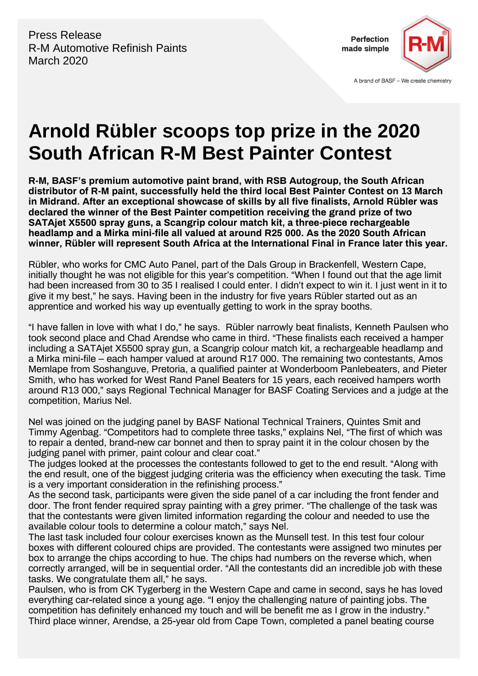Press Release R-M Automotive Refinish Paints March 2020



A brand of BASF - We create chemistry

## **Arnold Rübler scoops top prize in the 2020 South African R-M Best Painter Contest**

**R-M, BASF's premium automotive paint brand, with RSB Autogroup, the South African distributor of R-M paint, successfully held the third local Best Painter Contest on 13 March in Midrand. After an exceptional showcase of skills by all five finalists, Arnold Rübler was declared the winner of the Best Painter competition receiving the grand prize of two SATAjet X5500 spray guns, a Scangrip colour match kit, a three-piece rechargeable headlamp and a Mirka mini-file all valued at around R25 000. As the 2020 South African winner, Rübler will represent South Africa at the International Final in France later this year.** 

Rübler, who works for CMC Auto Panel, part of the Dals Group in Brackenfell, Western Cape, initially thought he was not eligible for this year's competition. "When I found out that the age limit had been increased from 30 to 35 I realised I could enter. I didn't expect to win it. I just went in it to give it my best," he says. Having been in the industry for five years Rübler started out as an apprentice and worked his way up eventually getting to work in the spray booths.

"I have fallen in love with what I do," he says. Rübler narrowly beat finalists, Kenneth Paulsen who took second place and Chad Arendse who came in third. "These finalists each received a hamper including a SATAjet X5500 spray gun, a Scangrip colour match kit, a rechargeable headlamp and a Mirka mini-file – each hamper valued at around R17 000. The remaining two contestants, Amos Memlape from Soshanguve, Pretoria, a qualified painter at Wonderboom Panlebeaters, and Pieter Smith, who has worked for West Rand Panel Beaters for 15 years, each received hampers worth around R13 000," says Regional Technical Manager for BASF Coating Services and a judge at the competition, Marius Nel.

Nel was joined on the judging panel by BASF National Technical Trainers, Quintes Smit and Timmy Agenbag. "Competitors had to complete three tasks," explains Nel, "The first of which was to repair a dented, brand-new car bonnet and then to spray paint it in the colour chosen by the judging panel with primer, paint colour and clear coat."

The judges looked at the processes the contestants followed to get to the end result. "Along with the end result, one of the biggest judging criteria was the efficiency when executing the task. Time is a very important consideration in the refinishing process."

As the second task, participants were given the side panel of a car including the front fender and door. The front fender required spray painting with a grey primer. "The challenge of the task was that the contestants were given limited information regarding the colour and needed to use the available colour tools to determine a colour match," says Nel.

The last task included four colour exercises known as the Munsell test. In this test four colour boxes with different coloured chips are provided. The contestants were assigned two minutes per box to arrange the chips according to hue. The chips had numbers on the reverse which, when correctly arranged, will be in sequential order. "All the contestants did an incredible job with these tasks. We congratulate them all," he says.

Paulsen, who is from CK Tygerberg in the Western Cape and came in second, says he has loved everything car-related since a young age. "I enjoy the challenging nature of painting jobs. The competition has definitely enhanced my touch and will be benefit me as I grow in the industry." Third place winner, Arendse, a 25-year old from Cape Town, completed a panel beating course